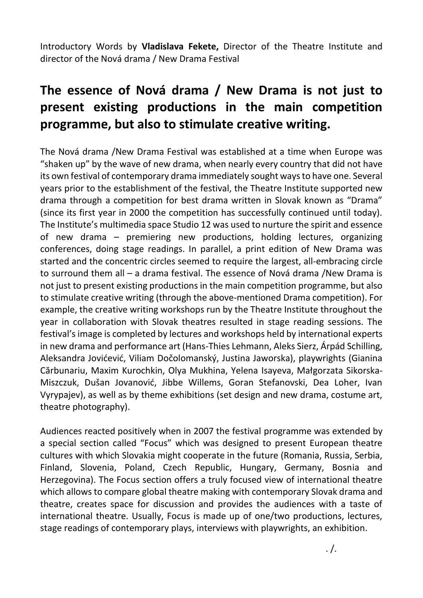Introductory Words by **Vladislava Fekete,** Director of the Theatre Institute and director of the Nová drama / New Drama Festival

## **The essence of Nová drama / New Drama is not just to present existing productions in the main competition programme, but also to stimulate creative writing.**

The Nová drama /New Drama Festival was established at a time when Europe was "shaken up" by the wave of new drama, when nearly every country that did not have its own festival of contemporary drama immediately sought ways to have one. Several years prior to the establishment of the festival, the Theatre Institute supported new drama through a competition for best drama written in Slovak known as "Drama" (since its first year in 2000 the competition has successfully continued until today). The Institute's multimedia space Studio 12 was used to nurture the spirit and essence of new drama – premiering new productions, holding lectures, organizing conferences, doing stage readings. In parallel, a print edition of New Drama was started and the concentric circles seemed to require the largest, all-embracing circle to surround them all – a drama festival. The essence of Nová drama /New Drama is not just to present existing productions in the main competition programme, but also to stimulate creative writing (through the above-mentioned Drama competition). For example, the creative writing workshops run by the Theatre Institute throughout the year in collaboration with Slovak theatres resulted in stage reading sessions. The festival's image is completed by lectures and workshops held by international experts in new drama and performance art (Hans-Thies Lehmann, Aleks Sierz, Árpád Schilling, Aleksandra Jovićević, Viliam Dočolomanský, Justina Jaworska), playwrights (Gianina Cărbunariu, Maxim Kurochkin, Olya Mukhina, Yelena Isayeva, Małgorzata Sikorska-Miszczuk, Dušan Jovanović, Jibbe Willems, Goran Stefanovski, Dea Loher, Ivan Vyrypajev), as well as by theme exhibitions (set design and new drama, costume art, theatre photography).

Audiences reacted positively when in 2007 the festival programme was extended by a special section called "Focus" which was designed to present European theatre cultures with which Slovakia might cooperate in the future (Romania, Russia, Serbia, Finland, Slovenia, Poland, Czech Republic, Hungary, Germany, Bosnia and Herzegovina). The Focus section offers a truly focused view of international theatre which allows to compare global theatre making with contemporary Slovak drama and theatre, creates space for discussion and provides the audiences with a taste of international theatre. Usually, Focus is made up of one/two productions, lectures, stage readings of contemporary plays, interviews with playwrights, an exhibition.